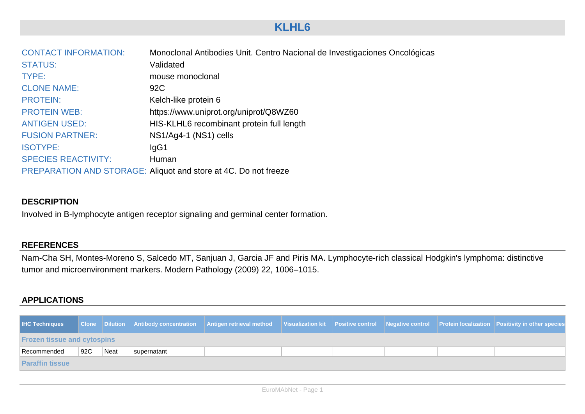# **KLHL6**

| <b>CONTACT INFORMATION:</b> | Monoclonal Antibodies Unit. Centro Nacional de Investigaciones Oncológicas |
|-----------------------------|----------------------------------------------------------------------------|
| <b>STATUS:</b>              | Validated                                                                  |
| TYPE:                       | mouse monoclonal                                                           |
| <b>CLONE NAME:</b>          | 92C                                                                        |
| <b>PROTEIN:</b>             | Kelch-like protein 6                                                       |
| <b>PROTEIN WEB:</b>         | https://www.uniprot.org/uniprot/Q8WZ60                                     |
| <b>ANTIGEN USED:</b>        | HIS-KLHL6 recombinant protein full length                                  |
| <b>FUSION PARTNER:</b>      | NS1/Ag4-1 (NS1) cells                                                      |
| <b>ISOTYPE:</b>             | lgG1                                                                       |
| <b>SPECIES REACTIVITY:</b>  | Human                                                                      |
|                             | PREPARATION AND STORAGE: Aliquot and store at 4C. Do not freeze            |

#### **DESCRIPTION**

Involved in B-lymphocyte antigen receptor signaling and germinal center formation.

#### **REFERENCES**

Nam-Cha SH, Montes-Moreno S, Salcedo MT, Sanjuan J, Garcia JF and Piris MA. Lymphocyte-rich classical Hodgkin's lymphoma: distinctive tumor and microenvironment markers. Modern Pathology (2009) 22, 1006–1015. 

### **APPLICATIONS**

| <b>IHC Techniques</b>              |      |      |             | Clone Dilution Antibody concentration Antigen retrieval method Visualization kit Positive control Negative control Protein localization Positivity in other species |  |  |  |  |  |  |
|------------------------------------|------|------|-------------|---------------------------------------------------------------------------------------------------------------------------------------------------------------------|--|--|--|--|--|--|
| <b>Frozen tissue and cytospins</b> |      |      |             |                                                                                                                                                                     |  |  |  |  |  |  |
| Recommended                        | ∣92C | Neat | supernatant |                                                                                                                                                                     |  |  |  |  |  |  |
| <b>Paraffin tissue</b>             |      |      |             |                                                                                                                                                                     |  |  |  |  |  |  |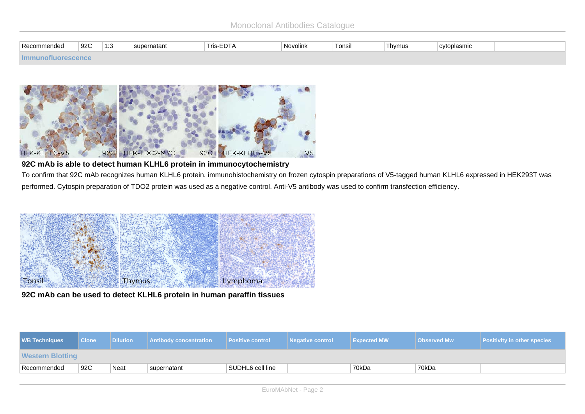| -<br>Recomr<br>endec | 92C | 1.2<br>ن. ا<br>$\sim$ | supernatant | $ -$<br>Tris-EL<br>-டபா | ±Novolink | .<br>Tonsil | Thymus | `cytoplasmic |  |
|----------------------|-----|-----------------------|-------------|-------------------------|-----------|-------------|--------|--------------|--|
|                      |     |                       |             |                         |           |             |        |              |  |



### **92C mAb is able to detect human KLHL6 protein in immunocytochemistry**

To confirm that 92C mAb recognizes human KLHL6 protein, immunohistochemistry on frozen cytospin preparations of V5-tagged human KLHL6 expressed in HEK293T was performed. Cytospin preparation of TDO2 protein was used as a negative control. Anti-V5 antibody was used to confirm transfection efficiency.



**92C mAb can be used to detect KLHL6 protein in human paraffin tissues**

| <b>WB Techniques</b>    | <b>Clone</b> | <b>Dilution</b> | <b>Antibody concentration</b> | <b>Positive control</b> | Negative control | <b>Expected MW</b> | <b>Observed Mw</b> | <b>Positivity in other species</b> |  |  |
|-------------------------|--------------|-----------------|-------------------------------|-------------------------|------------------|--------------------|--------------------|------------------------------------|--|--|
| <b>Western Blotting</b> |              |                 |                               |                         |                  |                    |                    |                                    |  |  |
| Recommended             | 92C          | Neat            | supernatant                   | SUDHL6 cell line        |                  | 70kDa              | 70kDa              |                                    |  |  |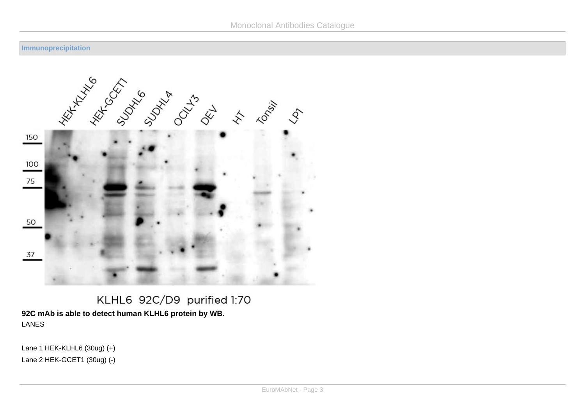#### **Immunoprecipitation**



# KLHL6 92C/D9 purified 1:70 **92C mAb is able to detect human KLHL6 protein by WB.** LANES

Lane 1 HEK-KLHL $6$  (30ug)  $(+)$ Lane  $2$  HEK-GCET1  $(30u) (-)$